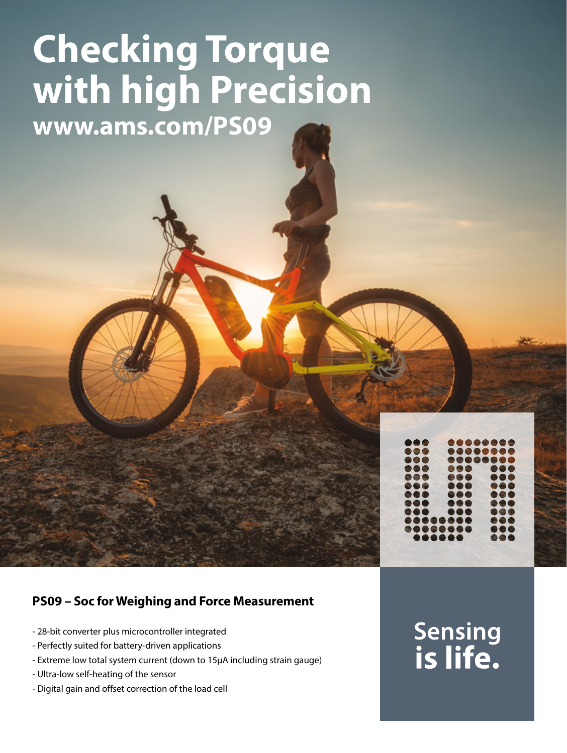## **Checking Torque with high Precision www.ams.com/PS09**

| 888                       |         |                         |  |
|---------------------------|---------|-------------------------|--|
| 888                       |         |                         |  |
| 868                       |         |                         |  |
| $\bullet \bullet \bullet$ | 888     | $\bullet\bullet\bullet$ |  |
| 888                       | 898     | 688                     |  |
| 800                       | 888     | 888                     |  |
| 888                       | 888     | 688                     |  |
| 800                       | <b></b> | 60e                     |  |
| 888                       | 888     | 900                     |  |
|                           |         | 666                     |  |
|                           |         |                         |  |
|                           |         | 888                     |  |
|                           |         |                         |  |

### **PS09 – Soc for Weighing and Force Measurement**

- 28-bit converter plus microcontroller integrated
- Perfectly suited for battery-driven applications
- Extreme low total system current (down to 15μA including strain gauge)
- Ultra-low self-heating of the sensor
- Digital gain and offset correction of the load cell

# Sensing<br>is life.